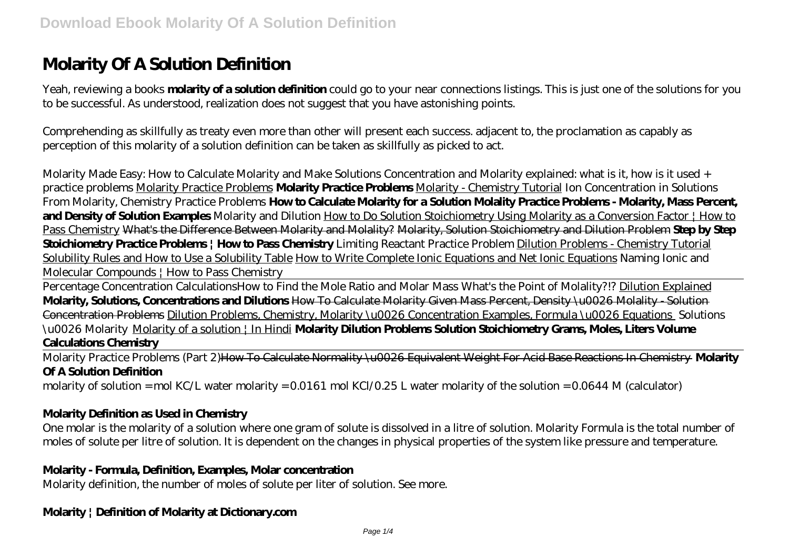# **Molarity Of A Solution Definition**

Yeah, reviewing a books **molarity of a solution definition** could go to your near connections listings. This is just one of the solutions for you to be successful. As understood, realization does not suggest that you have astonishing points.

Comprehending as skillfully as treaty even more than other will present each success. adjacent to, the proclamation as capably as perception of this molarity of a solution definition can be taken as skillfully as picked to act.

Molarity Made Easy: How to Calculate Molarity and Make Solutions Concentration and Molarity explained: what is it, how is it used + practice problems Molarity Practice Problems **Molarity Practice Problems** Molarity - Chemistry Tutorial *Ion Concentration in Solutions From Molarity, Chemistry Practice Problems* **How to Calculate Molarity for a Solution Molality Practice Problems - Molarity, Mass Percent, and Density of Solution Examples** *Molarity and Dilution* How to Do Solution Stoichiometry Using Molarity as a Conversion Factor | How to Pass Chemistry What's the Difference Between Molarity and Molality? Molarity, Solution Stoichiometry and Dilution Problem **Step by Step Stoichiometry Practice Problems | How to Pass Chemistry** *Limiting Reactant Practice Problem* Dilution Problems - Chemistry Tutorial Solubility Rules and How to Use a Solubility Table How to Write Complete Ionic Equations and Net Ionic Equations Naming Ionic and Molecular Compounds | How to Pass Chemistry

Percentage Concentration Calculations*How to Find the Mole Ratio and Molar Mass* What's the Point of Molality?!? Dilution Explained **Molarity, Solutions, Concentrations and Dilutions** How To Calculate Molarity Given Mass Percent, Density \u0026 Molality - Solution Concentration Problems Dilution Problems, Chemistry, Molarity \u0026 Concentration Examples, Formula \u0026 Equations *Solutions \u0026 Molarity* Molarity of a solution | In Hindi **Molarity Dilution Problems Solution Stoichiometry Grams, Moles, Liters Volume Calculations Chemistry**

Molarity Practice Problems (Part 2)How To Calculate Normality \u0026 Equivalent Weight For Acid Base Reactions In Chemistry **Molarity Of A Solution Definition**

molarity of solution = mol KC/L water molarity = 0.0161 mol KCl/0.25 L water molarity of the solution = 0.0644 M (calculator)

#### **Molarity Definition as Used in Chemistry**

One molar is the molarity of a solution where one gram of solute is dissolved in a litre of solution. Molarity Formula is the total number of moles of solute per litre of solution. It is dependent on the changes in physical properties of the system like pressure and temperature.

#### **Molarity - Formula, Definition, Examples, Molar concentration**

Molarity definition, the number of moles of solute per liter of solution. See more.

#### **Molarity | Definition of Molarity at Dictionary.com**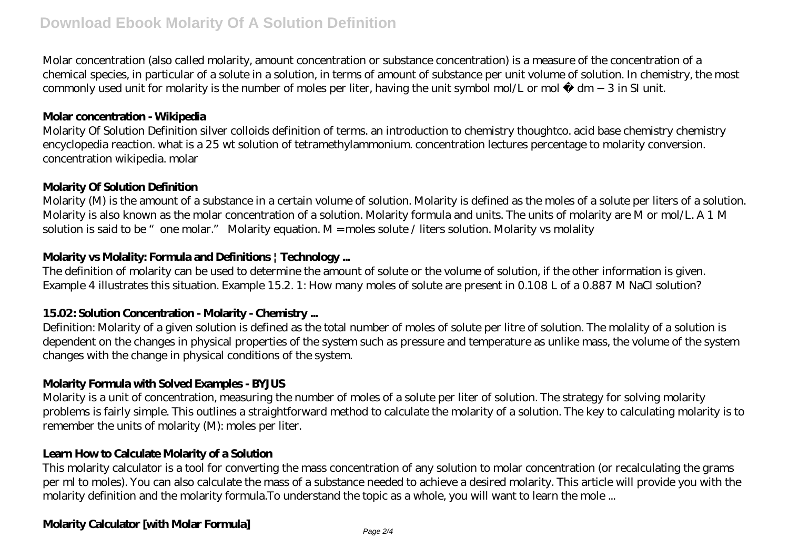Molar concentration (also called molarity, amount concentration or substance concentration) is a measure of the concentration of a chemical species, in particular of a solute in a solution, in terms of amount of substance per unit volume of solution. In chemistry, the most commonly used unit for molarity is the number of moles per liter, having the unit symbol mol/L or mol ⋅ dm −3 in SI unit.

#### **Molar concentration - Wikipedia**

Molarity Of Solution Definition silver colloids definition of terms. an introduction to chemistry thoughtco. acid base chemistry chemistry encyclopedia reaction. what is a 25 wt solution of tetramethylammonium. concentration lectures percentage to molarity conversion. concentration wikipedia. molar

## **Molarity Of Solution Definition**

Molarity (M) is the amount of a substance in a certain volume of solution. Molarity is defined as the moles of a solute per liters of a solution. Molarity is also known as the molar concentration of a solution. Molarity formula and units. The units of molarity are M or mol/L. A 1 M solution is said to be "one molar." Molarity equation. M = moles solute / liters solution. Molarity vs molality

## **Molarity vs Molality: Formula and Definitions | Technology ...**

The definition of molarity can be used to determine the amount of solute or the volume of solution, if the other information is given. Example 4 illustrates this situation. Example 15.2. 1: How many moles of solute are present in 0.108 L of a 0.887 M NaCl solution?

## **15.02: Solution Concentration - Molarity - Chemistry ...**

Definition: Molarity of a given solution is defined as the total number of moles of solute per litre of solution. The molality of a solution is dependent on the changes in physical properties of the system such as pressure and temperature as unlike mass, the volume of the system changes with the change in physical conditions of the system.

## **Molarity Formula with Solved Examples - BYJUS**

Molarity is a unit of concentration, measuring the number of moles of a solute per liter of solution. The strategy for solving molarity problems is fairly simple. This outlines a straightforward method to calculate the molarity of a solution. The key to calculating molarity is to remember the units of molarity (M): moles per liter.

## **Learn How to Calculate Molarity of a Solution**

This molarity calculator is a tool for converting the mass concentration of any solution to molar concentration (or recalculating the grams per ml to moles). You can also calculate the mass of a substance needed to achieve a desired molarity. This article will provide you with the molarity definition and the molarity formula.To understand the topic as a whole, you will want to learn the mole ...

## **Molarity Calculator [with Molar Formula]**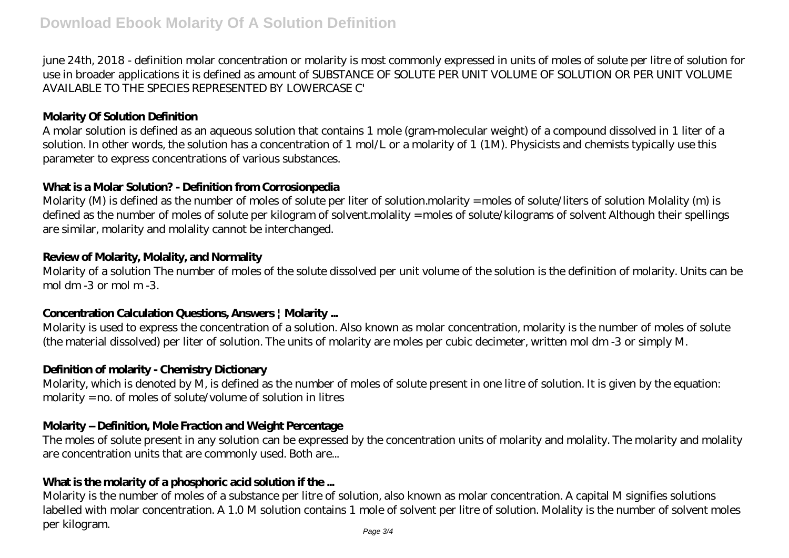june 24th, 2018 - definition molar concentration or molarity is most commonly expressed in units of moles of solute per litre of solution for use in broader applications it is defined as amount of SUBSTANCE OF SOLUTE PER UNIT VOLUME OF SOLUTION OR PER UNIT VOLUME AVAILABLE TO THE SPECIES REPRESENTED BY LOWERCASE C'

### **Molarity Of Solution Definition**

A molar solution is defined as an aqueous solution that contains 1 mole (gram-molecular weight) of a compound dissolved in 1 liter of a solution. In other words, the solution has a concentration of 1 mol/L or a molarity of 1 (1M). Physicists and chemists typically use this parameter to express concentrations of various substances.

### **What is a Molar Solution? - Definition from Corrosionpedia**

Molarity (M) is defined as the number of moles of solute per liter of solution.molarity = moles of solute/liters of solution Molality (m) is defined as the number of moles of solute per kilogram of solvent.molality = moles of solute/kilograms of solvent Although their spellings are similar, molarity and molality cannot be interchanged.

#### **Review of Molarity, Molality, and Normality**

Molarity of a solution The number of moles of the solute dissolved per unit volume of the solution is the definition of molarity. Units can be mol dm -3 or mol m -3.

## **Concentration Calculation Questions, Answers | Molarity ...**

Molarity is used to express the concentration of a solution. Also known as molar concentration, molarity is the number of moles of solute (the material dissolved) per liter of solution. The units of molarity are moles per cubic decimeter, written mol dm -3 or simply M.

## **Definition of molarity - Chemistry Dictionary**

Molarity, which is denoted by M, is defined as the number of moles of solute present in one litre of solution. It is given by the equation: molarity = no. of moles of solute/volume of solution in litres

## **Molarity – Definition, Mole Fraction and Weight Percentage**

The moles of solute present in any solution can be expressed by the concentration units of molarity and molality. The molarity and molality are concentration units that are commonly used. Both are...

## **What is the molarity of a phosphoric acid solution if the ...**

Molarity is the number of moles of a substance per litre of solution, also known as molar concentration. A capital M signifies solutions labelled with molar concentration. A 1.0 M solution contains 1 mole of solvent per litre of solution. Molality is the number of solvent moles per kilogram.

Page 3/4